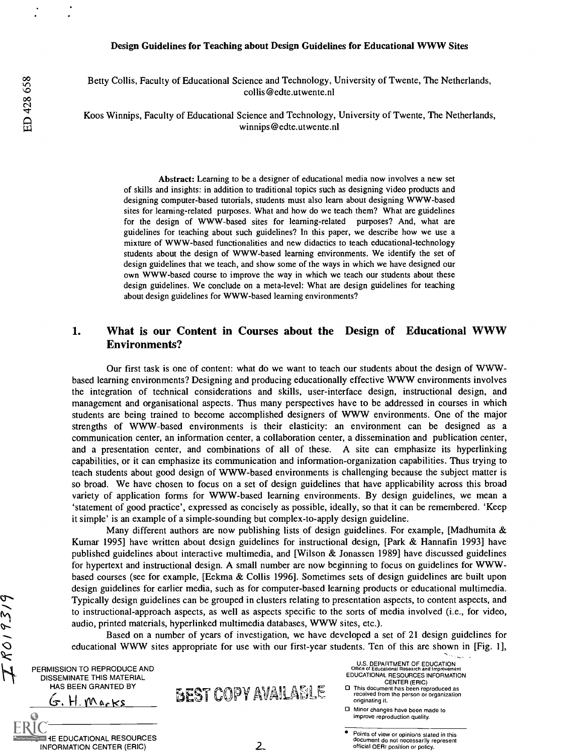#### Design Guidelines for Teaching about Design Guidelines for Educational WWW Sites

Betty Collis, Faculty of Educational Science and Technology, University of Twente, The Netherlands, collis@edte.utwente.n1

Koos Winnips, Faculty of Educational Science and Technology, University of Twente, The Netherlands, winnips@edte.utwente.nl

Abstract: Learning to be a designer of educational media now involves a new set of skills and insights: in addition to traditional topics such as designing video products and designing computer-based tutorials, students must also learn about designing WWW-based sites for learning-related purposes. What and how do we teach them? What are guidelines for the design of WWW-based sites for learning-related purposes? And, what are guidelines for teaching about such guidelines? In this paper, we describe how we use a mixture of WWW-based functionalities and new didactics to teach educational-technology students about the design of WWW-based learning environments. We identify the set of design guidelines that we teach, and show some of the ways in which we have designed our own WWW-based course to improve the way in which we teach our students about these design guidelines. We conclude on a meta-level: What are design guidelines for teaching about design guidelines for WWW-based learning environments?

#### 1. What is our Content in Courses about the Design of Educational WWW Environments?

Our first task is one of content: what do we want to teach our students about the design of WWWbased learning environments? Designing and producing educationally effective WWW environments involves the integration of technical considerations and skills, user-interface design, instructional design, and management and organisational aspects. Thus many perspectives have to be addressed in courses in which students are being trained to become accomplished designers of WWW environments. One of the major strengths of WWW-based environments is their elasticity: an environment can be designed as a communication center, an information center, a collaboration center, a dissemination and publication center, and a presentation center, and combinations of all of these. A site can emphasize its hyperlinking capabilities, or it can emphasize its communication and information-organization capabilities. Thus trying to teach students about good design of WWW-based environments is challenging because the subject matter is so broad. We have chosen to focus on a set of design guidelines that have applicability across this broad variety of application forms for WWW-based learning environments. By design guidelines, we mean a 'statement of good practice', expressed as concisely as possible, ideally, so that it can be remembered. 'Keep it simple' is an example of a simple-sounding but complex-to-apply design guideline.

Many different authors are now publishing lists of design guidelines. For example, [Madhumita  $\&$ Kumar 1995] have written about design guidelines for instructional design, [Park & Hannafin 1993] have published guidelines about interactive multimedia, and [Wilson & Jonassen 1989] have discussed guidelines for hypertext and instructional design. A small number are now beginning to focus on guidelines for WWWbased courses (see for example, [Eekma & Collis 1996]. Sometimes sets of design guidelines are built upon design guidelines for earlier media, such as for computer-based learning products or educational multimedia. Typically design guidelines can be grouped in clusters relating to presentation aspects, to content aspects, and to instructional-approach aspects, as well as aspects specific to the sorts of media involved (i.e., for video, audio, printed materials, hyperlinked multimedia databases, WWW sites, etc.).

Based on a number of years of investigation, we have developed a set of 21 design guidelines for educational WWW sites appropriate for use with our first-year students. Ten of this are shown in [Fig. 1],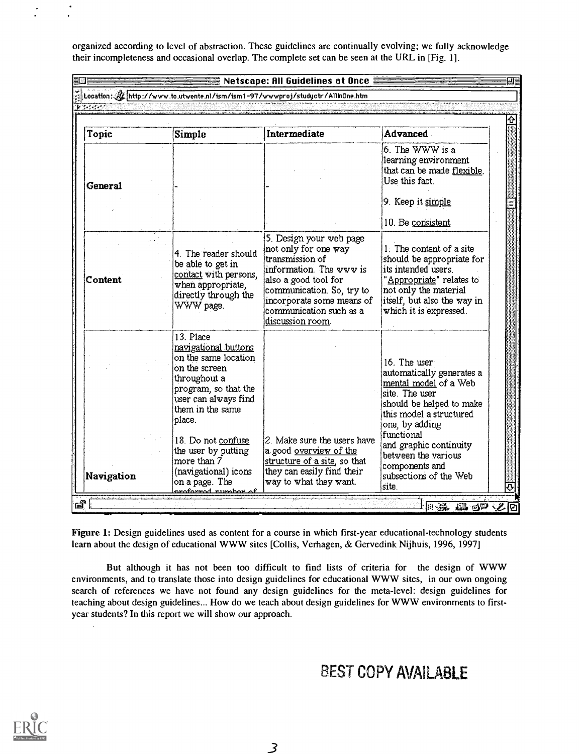organized according to level of abstraction. These guidelines are continually evolving; we fully acknowledge their incompleteness and occasional overlap. The complete set can be seen at the URL in [Fig. 1].

| Netscape: All Guidelines at Once |                                                                                                                                                                                                                                                                                                   |                                                                                                                                                                                                                                |                                                                                                                                                                                                                                                                                   |  |
|----------------------------------|---------------------------------------------------------------------------------------------------------------------------------------------------------------------------------------------------------------------------------------------------------------------------------------------------|--------------------------------------------------------------------------------------------------------------------------------------------------------------------------------------------------------------------------------|-----------------------------------------------------------------------------------------------------------------------------------------------------------------------------------------------------------------------------------------------------------------------------------|--|
|                                  |                                                                                                                                                                                                                                                                                                   | Location: // http://www.to.utwente.nl/ism/ism1-97/wwwproj/studyctr/AllinOne.htm                                                                                                                                                |                                                                                                                                                                                                                                                                                   |  |
| लियनगर                           |                                                                                                                                                                                                                                                                                                   |                                                                                                                                                                                                                                |                                                                                                                                                                                                                                                                                   |  |
|                                  |                                                                                                                                                                                                                                                                                                   |                                                                                                                                                                                                                                |                                                                                                                                                                                                                                                                                   |  |
| Topic                            | Simple                                                                                                                                                                                                                                                                                            | Intermediate                                                                                                                                                                                                                   | <b>Advanced</b>                                                                                                                                                                                                                                                                   |  |
| General                          |                                                                                                                                                                                                                                                                                                   |                                                                                                                                                                                                                                | 6. The WWW is a<br>learning environment<br>that can be made flexible.<br>Use this fact.                                                                                                                                                                                           |  |
|                                  |                                                                                                                                                                                                                                                                                                   |                                                                                                                                                                                                                                | 9. Keep it simple                                                                                                                                                                                                                                                                 |  |
|                                  |                                                                                                                                                                                                                                                                                                   |                                                                                                                                                                                                                                | 10. Be consistent                                                                                                                                                                                                                                                                 |  |
| Content                          | 4. The reader should<br>be able to get in<br>contact with persons.<br>when appropriate,<br>directly through the<br>WWW page.                                                                                                                                                                      | 5. Design your web page<br>not only for one way<br>transmission of<br>information. The www is<br>also a good tool for<br>communication. So, try to<br>incorporate some means of<br>communication such as a<br>discussion room. | 1. The content of a site<br>should be appropriate for<br>its intended users.<br>"Appropriate" relates to<br>not only the material<br>itself, but also the way in<br>which it is expressed.                                                                                        |  |
| Navigation                       | 13. Place<br>navigational buttons<br>on the same location<br>on the screen<br>throughout a<br>program, so that the<br>user can always find<br>them in the same<br>place.<br>18. Do not confuse<br>the user by putting<br>more than 7<br>(navigational) icons<br>on a page. The<br>roforrad numbor | 2. Make sure the users have<br>a good overview of the<br>structure of a site, so that<br>they can easily find their<br>way to what they want.                                                                                  | 16. The user<br>automatically generates a<br>mental model of a Web<br>site. The user<br>should be helped to make<br>this model a structured<br>one, by adding<br>functional<br>and graphic continuity<br>between the various<br>components and<br>subsections of the Web<br>site. |  |

Figure 1: Design guidelines used as content for a course in which first-year educational-technology students learn about the design of educational WWW sites [Collis, Verhagen, & Gervedink Nijhuis, 1996, 1997]

But although it has not been too difficult to find lists of criteria for the design of WWW environments, and to translate those into design guidelines for educational WWW sites, in our own ongoing search of references we have not found any design guidelines for the meta-level: design guidelines for teaching about design guidelines... How do we teach about design guidelines for WWW environments to firstyear students? In this report we will show our approach.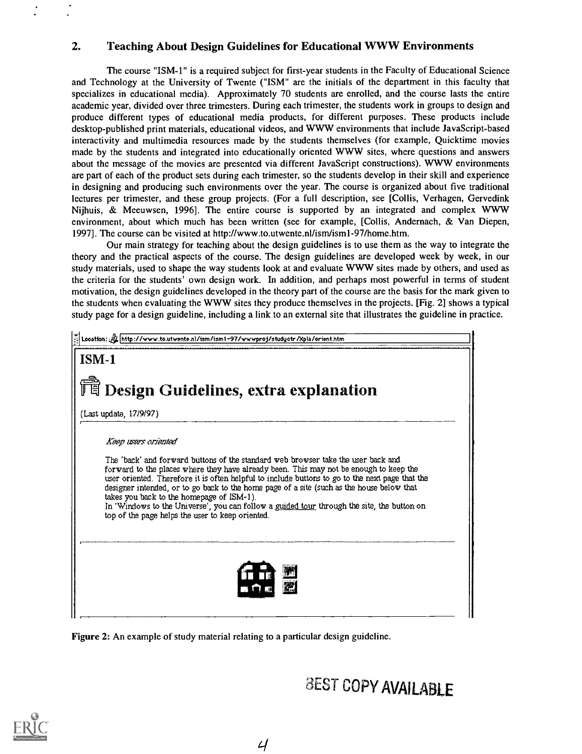### 2. Teaching About Design Guidelines for Educational WWW Environments

The course "ISM-1" is a required subject for first-year students in the Faculty of Educational Science and Technology at the University of Twente ("ISM" are the initials of the department in this faculty that specializes in educational media). Approximately 70 students are enrolled, and the course lasts the entire academic year, divided over three trimesters. During each trimester, the students work in groups to design and produce different types of educational media products, for different purposes. These products include desktop-published print materials, educational videos, and WWW environments that include JavaScript-based interactivity and multimedia resources made by the students themselves (for example, Quicktime movies made by the students and integrated into educationally oriented WWW sites, where questions and answers about the message of the movies are presented via different JavaScript constructions). WWW environments are part of each of the product sets during each trimester, so the students develop in their skill and experience in designing and producing such environments over the year. The course is organized about five traditional lectures per trimester, and these group projects. (For a full description, see [Collis, Verhagen, Gervedink Nijhuis, & Meeuwsen, 1996]. The entire course is supported by an integrated and complex WWW environment, about which much has been written (see for example, [Collis, Andernach, & Van Diepen, 1997]. The course can be visited at http://www.to.utwente.nl/ism/ism1-97/home.htm.

Our main strategy for teaching about the design guidelines is to use them as the way to integrate the theory and the practical aspects of the course. The design guidelines are developed week by week, in our study materials, used to shape the way students look at and evaluate WWW sites made by others, and used as the criteria for the students' own design work. In addition, and perhaps most powerful in terms of student motivation, the design guidelines developed in the theory part of the course are the basis for the mark given to the students when evaluating the WWW sites they produce themselves in the projects. [Fig. 2] shows a typical study page for a design guideline, including a link to an external site that illustrates the guideline in practice.



Figure 2: An example of study material relating to a particular design guideline.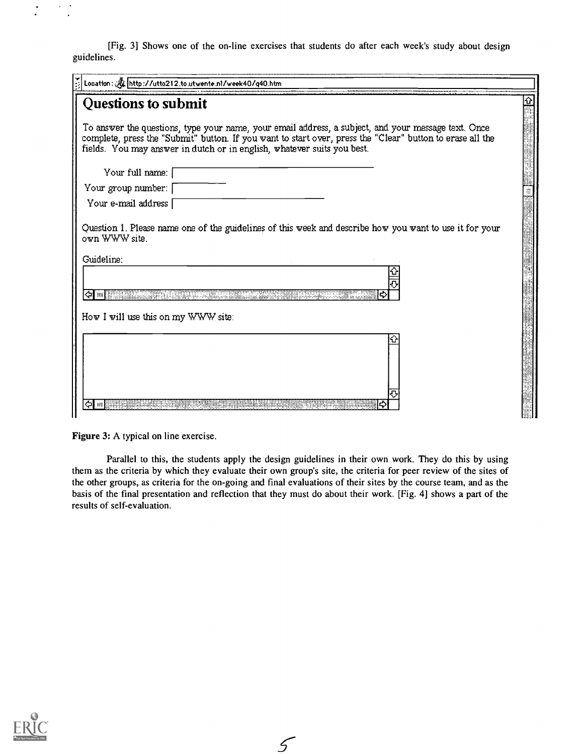[Fig. 3] Shows one of the on-line exercises that students do after each week's study about design guidelines.

| Location: 4 http://utto212.to.utwente.nl/week40/q40.htm                                                                                                                                                                                                                                     |  |  |  |  |
|---------------------------------------------------------------------------------------------------------------------------------------------------------------------------------------------------------------------------------------------------------------------------------------------|--|--|--|--|
| Questions to submit                                                                                                                                                                                                                                                                         |  |  |  |  |
| To answer the questions, type your name, your email address, a subject, and your message text. Once<br>complete, press the "Submit" button. If you want to start over, press the "Clear" button to erase all the<br>fields. You may answer in dutch or in english, whatever suits you best. |  |  |  |  |
| Your full name:                                                                                                                                                                                                                                                                             |  |  |  |  |
| Your group number:                                                                                                                                                                                                                                                                          |  |  |  |  |
| Your e-mail address                                                                                                                                                                                                                                                                         |  |  |  |  |
| Question 1. Please name one of the guidelines of this week and describe how you want to use it for your<br>own WWW site.                                                                                                                                                                    |  |  |  |  |
| Guideline:                                                                                                                                                                                                                                                                                  |  |  |  |  |
| I⇔I ™I≋                                                                                                                                                                                                                                                                                     |  |  |  |  |
| How I will use this on my WWW site:                                                                                                                                                                                                                                                         |  |  |  |  |
|                                                                                                                                                                                                                                                                                             |  |  |  |  |
|                                                                                                                                                                                                                                                                                             |  |  |  |  |

Figure 3: A typical on line exercise.

Parallel to this, the students apply the design guidelines in their own work. They do this by using them as the criteria by which they evaluate their own group's site, the criteria for peer review of the sites of the other groups, as criteria for the on-going and final evaluations of their sites by the course team, and as the basis of the final presentation and reflection that they must do about their work. [Fig. 4] shows a part of the results of self-evaluation.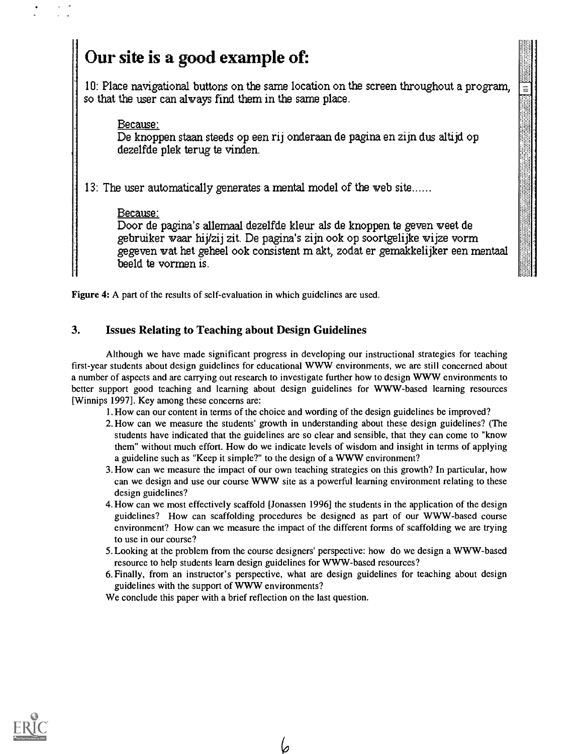# Our site is a good example of:

10: Place navigational buttons on the same location on the screen throughout a program, so that the user can alvays find them in the same place.

#### Because:

De knoppen staan steeds op een rij onderaan de pagina en zijn dus altijd op dezelfde plek terug te vinden.

13: The user automatically generates a mental model of the web site......

#### Because:

Door de pagina's allemaal dezelfde kleur als de knoppen te geven weet de gebruiker vaar hijkij zit. De pagina's zijn ook op soortgelijke vijze vorm gegeven vat het geheel ook consistent m akt, zodat er gemakkelijker een mentaal beeld te vormen is.

Figure 4: A part of the results of self-evaluation in which guidelines are used.

# 3. Issues Relating to Teaching about Design Guidelines

Although we have made significant progress in developing our instructional strategies for teaching first-year students about design guidelines for educational WWW environments, we are still concerned about a number of aspects and are carrying out research to investigate further how to design WWW environments to better support good teaching and learning about design guidelines for WWW-based learning resources [Winnips 1997]. Key among these concerns are:

1. How can our content in terms of the choice and wording of the design guidelines be improved?

- 2. How can we measure the students' growth in understanding about these design guidelines? (The students have indicated that the guidelines are so clear and sensible, that they can come to "know them" without much effort. How do we indicate levels of wisdom and insight in terms of applying a guideline such as "Keep it simple?" to the design of a WWW environment?
- 3. How can we measure the impact of our own teaching strategies on this growth? In particular, how can we design and use our course WWW site as a powerful learning environment relating to these design guidelines?
- 4. How can we most effectively scaffold [Jonassen 1996] the students in the application of the design guidelines? How can scaffolding procedures be designed as part of our WWW-based course environment? How can we measure the impact of the different forms of scaffolding we are trying to use in our course?
- 5. Looking at the problem from the course designers' perspective: how do we design a WWW-based resource to help students learn design guidelines for WWW-based resources?
- 6.Finally, from an instructor's perspective, what are design guidelines for teaching about design guidelines with the support of WWW environments?

We conclude this paper with a brief reflection on the last question.